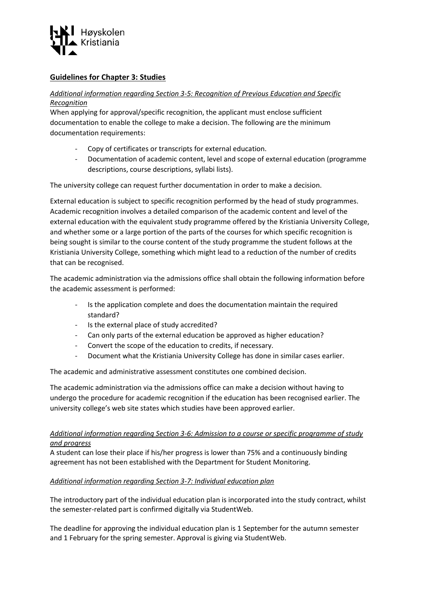

# **Guidelines for Chapter 3: Studies**

## *Additional information regarding Section 3-5: Recognition of Previous Education and Specific Recognition*

When applying for approval/specific recognition, the applicant must enclose sufficient documentation to enable the college to make a decision. The following are the minimum documentation requirements:

- Copy of certificates or transcripts for external education.
- Documentation of academic content, level and scope of external education (programme descriptions, course descriptions, syllabi lists).

The university college can request further documentation in order to make a decision.

External education is subject to specific recognition performed by the head of study programmes. Academic recognition involves a detailed comparison of the academic content and level of the external education with the equivalent study programme offered by the Kristiania University College, and whether some or a large portion of the parts of the courses for which specific recognition is being sought is similar to the course content of the study programme the student follows at the Kristiania University College, something which might lead to a reduction of the number of credits that can be recognised.

The academic administration via the admissions office shall obtain the following information before the academic assessment is performed:

- Is the application complete and does the documentation maintain the required standard?
- Is the external place of study accredited?
- Can only parts of the external education be approved as higher education?
- Convert the scope of the education to credits, if necessary.
- Document what the Kristiania University College has done in similar cases earlier.

The academic and administrative assessment constitutes one combined decision.

The academic administration via the admissions office can make a decision without having to undergo the procedure for academic recognition if the education has been recognised earlier. The university college's web site states which studies have been approved earlier.

### *Additional information regarding Section 3-6: Admission to a course or specific programme of study and progress*

A student can lose their place if his/her progress is lower than 75% and a continuously binding agreement has not been established with the Department for Student Monitoring.

### *Additional information regarding Section 3-7: Individual education plan*

The introductory part of the individual education plan is incorporated into the study contract, whilst the semester-related part is confirmed digitally via StudentWeb.

The deadline for approving the individual education plan is 1 September for the autumn semester and 1 February for the spring semester. Approval is giving via StudentWeb.